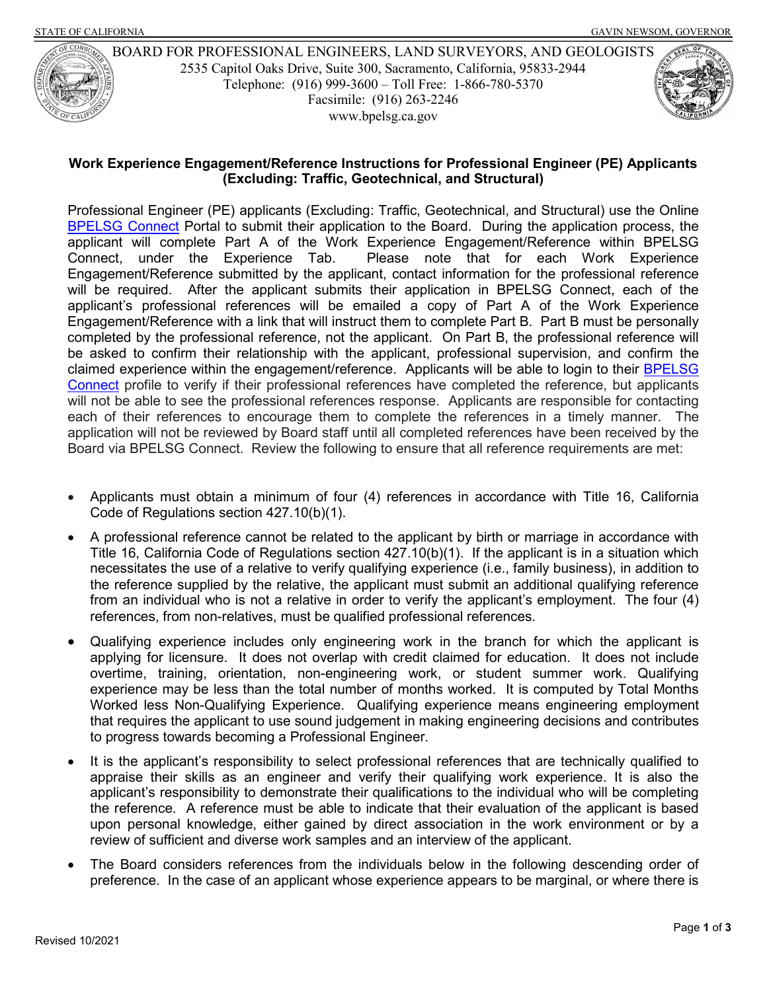

 Telephone: (916) 999-3600 – Toll Free: 1-866-780-5370 BOARD FOR PROFESSIONAL ENGINEERS, LAND SURVEYORS, AND GEOLOGISTS 2535 Capitol Oaks Drive, Suite 300, Sacramento, California, 95833-2944 Facsimile: (916) 263-2246 <www.bpelsg.ca.gov>

## **Work Experience Engagement/Reference Instructions for Professional Engineer (PE) Applicants (Excluding: Traffic, Geotechnical, and Structural)**

<u>BPELSG Connect</u> Portal to submit their application to the Board. During the application process, the Connect. under the Experience Tab. Engagement/Reference submitted by the applicant, contact information for the professional reference will be required. After the applicant submits their application in BPELSG Connect, each of the applicant's professional references will be emailed a copy of Part A of the Work Experience Engagement/Reference with a link that will instruct them to complete Part B. Part B must be personally completed by the professional reference, not the applicant. On Part B, the professional reference will claimed experience within the engagement/reference. Applicants will be able to login to their <u>BPELSG</u> [Connect](https://connect.bpelsg.ca.gov/#/) profile to verify if their professional references have completed the reference, but applicants will not be able to see the professional references response. Applicants are responsible for contacting each of their references to encourage them to complete the references in a timely manner. The application will not be reviewed by Board staff until all completed references have been received by the Board via BPELSG Connect. Review the following to ensure that all reference requirements are met: Professional Engineer (PE) applicants (Excluding: Traffic, Geotechnical, and Structural) use the Online applicant will complete Part A of the Work Experience Engagement/Reference within BPELSG Please note that for each Work Experience be asked to confirm their relationship with the applicant, professional supervision, and confirm the

- • Applicants must obtain a minimum of four (4) references in accordance with Title 16, California Code of Regulations section 427.10(b)(1).
- • A professional reference cannot be related to the applicant by birth or marriage in accordance with Title 16, California Code of Regulations section 427.10(b)(1). If the applicant is in a situation which necessitates the use of a relative to verify qualifying experience (i.e., family business), in addition to the reference supplied by the relative, the applicant must submit an additional qualifying reference from an individual who is not a relative in order to verify the applicant's employment. The four (4) references, from non-relatives, must be qualified professional references.
- overtime, training, orientation, non-engineering work, or student summer work. Qualifying Worked less Non-Qualifying Experience. Qualifying experience means engineering employment that requires the applicant to use sound judgement in making engineering decisions and contributes • Qualifying experience includes only engineering work in the branch for which the applicant is applying for licensure. It does not overlap with credit claimed for education. It does not include experience may be less than the total number of months worked. It is computed by Total Months to progress towards becoming a Professional Engineer.
- • It is the applicant's responsibility to select professional references that are technically qualified to appraise their skills as an engineer and verify their qualifying work experience. It is also the applicant's responsibility to demonstrate their qualifications to the individual who will be completing the reference. A reference must be able to indicate that their evaluation of the applicant is based upon personal knowledge, either gained by direct association in the work environment or by a review of sufficient and diverse work samples and an interview of the applicant.
- • The Board considers references from the individuals below in the following descending order of preference. In the case of an applicant whose experience appears to be marginal, or where there is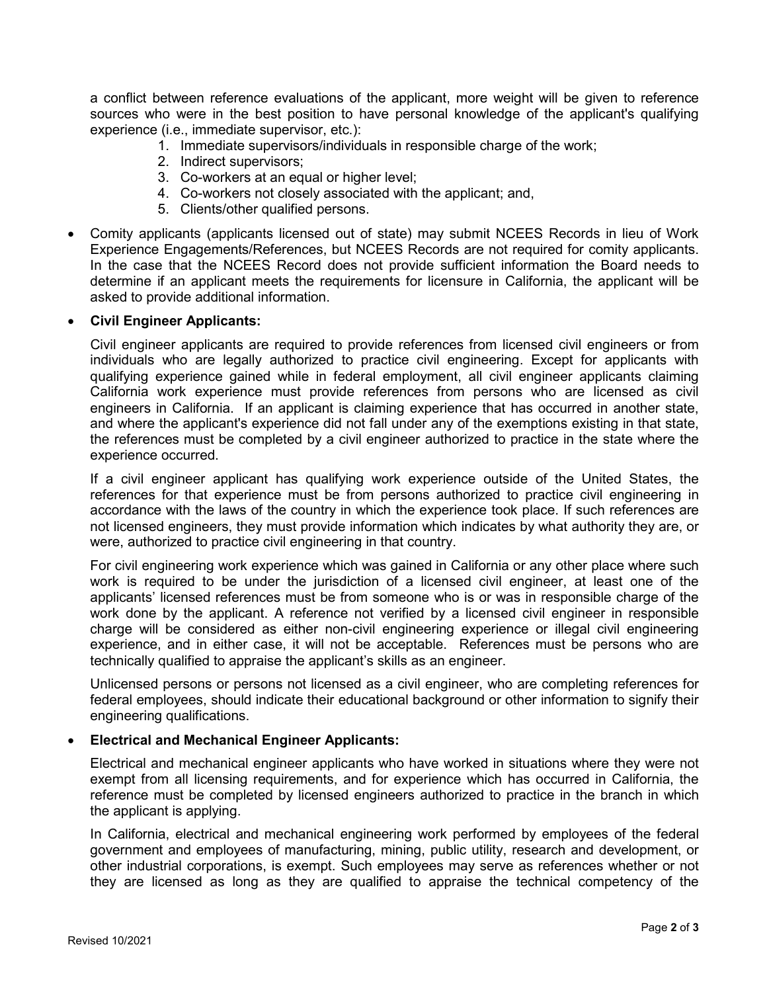sources who were in the best position to have personal knowledge of the applicant's qualifying a conflict between reference evaluations of the applicant, more weight will be given to reference experience (i.e., immediate supervisor, etc.):

- 1. Immediate supervisors/individuals in responsible charge of the work;
- 2. Indirect supervisors;
- 3. Co-workers at an equal or higher level;
- 4. Co-workers not closely associated with the applicant; and,
- 5. Clients/other qualified persons.
- Experience Engagements/References, but NCEES Records are not required for comity applicants. Experience Engagements/References, but NCEES Records are not required for comity applicants.<br>In the case that the NCEES Record does not provide sufficient information the Board needs to determine if an applicant meets the requirements for licensure in California, the applicant will be • Comity applicants (applicants licensed out of state) may submit NCEES Records in lieu of Work asked to provide additional information.

## • **Civil Engineer Applicants:**

 Civil engineer applicants are required to provide references from licensed civil engineers or from California work experience must provide references from persons who are licensed as civil engineers in California. If an applicant is claiming experience that has occurred in another state, and where the applicant's experience did not fall under any of the exemptions existing in that state, experience occurred. individuals who are legally authorized to practice civil engineering. Except for applicants with qualifying experience gained while in federal employment, all civil engineer applicants claiming the references must be completed by a civil engineer authorized to practice in the state where the

experience occurred.<br>If a civil engineer applicant has qualifying work experience outside of the United States, the references for that experience must be from persons authorized to practice civil engineering in not licensed engineers, they must provide information which indicates by what authority they are, or were, authorized to practice civil engineering in that country. accordance with the laws of the country in which the experience took place. If such references are

 For civil engineering work experience which was gained in California or any other place where such work is required to be under the jurisdiction of a licensed civil engineer, at least one of the applicants' licensed references must be from someone who is or was in responsible charge of the work done by the applicant. A reference not verified by a licensed civil engineer in responsible experience, and in either case, it will not be acceptable. References must be persons who are charge will be considered as either non-civil engineering experience or illegal civil engineering technically qualified to appraise the applicant's skills as an engineer.

 federal employees, should indicate their educational background or other information to signify their Unlicensed persons or persons not licensed as a civil engineer, who are completing references for engineering qualifications.

## • **Electrical and Mechanical Engineer Applicants:**

 reference must be completed by licensed engineers authorized to practice in the branch in which Electrical and mechanical engineer applicants who have worked in situations where they were not exempt from all licensing requirements, and for experience which has occurred in California, the the applicant is applying.

 government and employees of manufacturing, mining, public utility, research and development, or other industrial corporations, is exempt. Such employees may serve as references whether or not they are licensed as long as they are qualified to appraise the technical competency of the In California, electrical and mechanical engineering work performed by employees of the federal